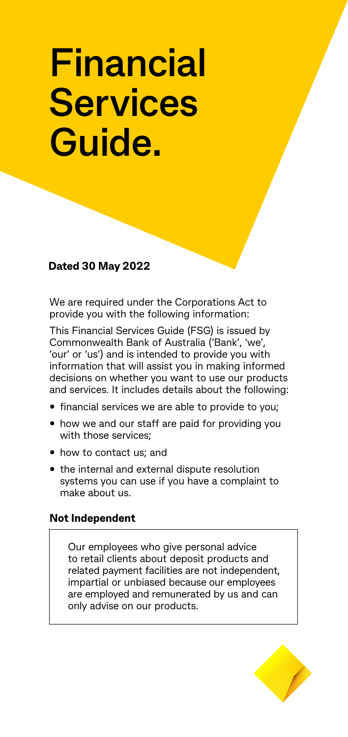# **Financial Services Guide.**

# **Dated 30 May 2022**

We are required under the Corporations Act to provide you with the following information:

This Financial Services Guide (FSG) is issued by Commonwealth Bank of Australia ('Bank', 'we', 'our' or 'us') and is intended to provide you with information that will assist you in making informed decisions on whether you want to use our products and services. It includes details about the following:

- financial services we are able to provide to you;
- how we and our staff are paid for providing you with those services;
- how to contact us; and
- the internal and external dispute resolution systems you can use if you have a complaint to make about us.

# **Not Independent**

Our employees who give personal advice to retail clients about deposit products and related payment facilities are not independent, impartial or unbiased because our employees are employed and remunerated by us and can only advise on our products.

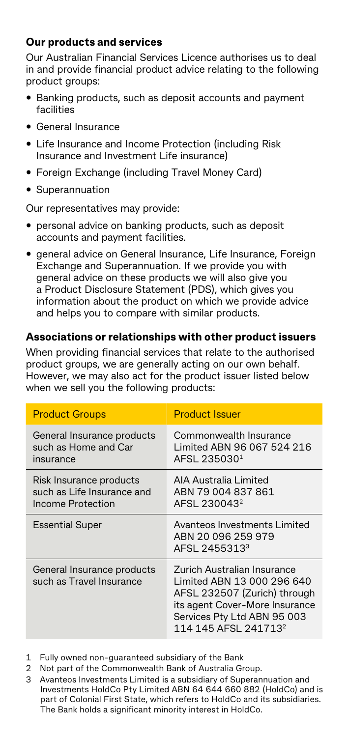# **Our products and services**

Our Australian Financial Services Licence authorises us to deal in and provide financial product advice relating to the following product groups:

- Banking products, such as deposit accounts and payment facilities
- General Insurance
- Life Insurance and Income Protection (including Risk Insurance and Investment Life insurance)
- Foreign Exchange (including Travel Money Card)
- Superannuation

Our representatives may provide:

- personal advice on banking products, such as deposit accounts and payment facilities.
- general advice on General Insurance, Life Insurance, Foreign Exchange and Superannuation. If we provide you with general advice on these products we will also give you a Product Disclosure Statement (PDS), which gives you information about the product on which we provide advice and helps you to compare with similar products.

#### **Associations or relationships with other product issuers**

When providing financial services that relate to the authorised product groups, we are generally acting on our own behalf. However, we may also act for the product issuer listed below when we sell you the following products:

| <b>Product Groups</b>                                                      | <b>Product Issuer</b>                                                                                                                                                                          |
|----------------------------------------------------------------------------|------------------------------------------------------------------------------------------------------------------------------------------------------------------------------------------------|
| General Insurance products<br>such as Home and Car<br>insurance            | Commonwealth Insurance<br>Limited ABN 96 067 524 216<br>AFSL 235030 <sup>1</sup>                                                                                                               |
| Risk Insurance products<br>such as Life Insurance and<br>Income Protection | AIA Australia Limited<br>ABN 79 004 837 861<br>AFSL 230043 <sup>2</sup>                                                                                                                        |
| <b>Essential Super</b>                                                     | Avanteos Investments Limited<br>ABN 20 096 259 979<br>AFSL 2455313 <sup>3</sup>                                                                                                                |
| General Insurance products<br>such as Travel Insurance                     | Zurich Australian Insurance<br>Limited ABN 13 000 296 640<br>AFSL 232507 (Zurich) through<br>its agent Cover-More Insurance<br>Services Pty Ltd ABN 95 003<br>114 145 AFSL 241713 <sup>2</sup> |

- 1 Fully owned non-guaranteed subsidiary of the Bank
- 2 Not part of the Commonwealth Bank of Australia Group.
- 3 Avanteos Investments Limited is a subsidiary of Superannuation and Investments HoldCo Pty Limited ABN 64 644 660 882 (HoldCo) and is part of Colonial First State, which refers to HoldCo and its subsidiaries. The Bank holds a significant minority interest in HoldCo.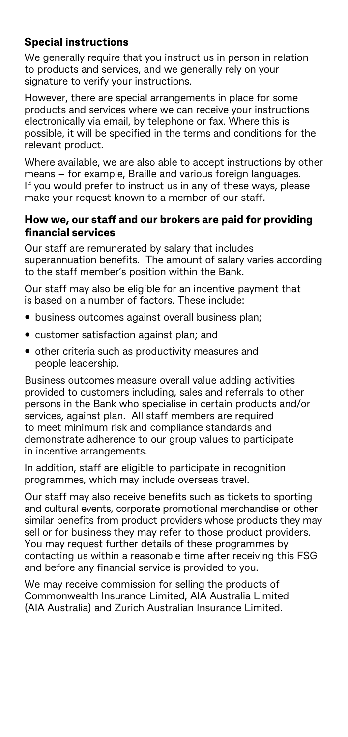# **Special instructions**

We generally require that you instruct us in person in relation to products and services, and we generally rely on your signature to verify your instructions.

However, there are special arrangements in place for some products and services where we can receive your instructions electronically via email, by telephone or fax. Where this is possible, it will be specified in the terms and conditions for the relevant product.

Where available, we are also able to accept instructions by other means – for example, Braille and various foreign languages. If you would prefer to instruct us in any of these ways, please make your request known to a member of our staff.

#### **How we, our staff and our brokers are paid for providing financial services**

Our staff are remunerated by salary that includes superannuation benefits. The amount of salary varies according to the staff member's position within the Bank.

Our staff may also be eligible for an incentive payment that is based on a number of factors. These include:

- business outcomes against overall business plan;
- customer satisfaction against plan; and
- other criteria such as productivity measures and people leadership.

Business outcomes measure overall value adding activities provided to customers including, sales and referrals to other persons in the Bank who specialise in certain products and/or services, against plan. All staff members are required to meet minimum risk and compliance standards and demonstrate adherence to our group values to participate in incentive arrangements.

In addition, staff are eligible to participate in recognition programmes, which may include overseas travel.

Our staff may also receive benefits such as tickets to sporting and cultural events, corporate promotional merchandise or other similar benefits from product providers whose products they may sell or for business they may refer to those product providers. You may request further details of these programmes by contacting us within a reasonable time after receiving this FSG and before any financial service is provided to you.

We may receive commission for selling the products of Commonwealth Insurance Limited, AIA Australia Limited (AIA Australia) and Zurich Australian Insurance Limited.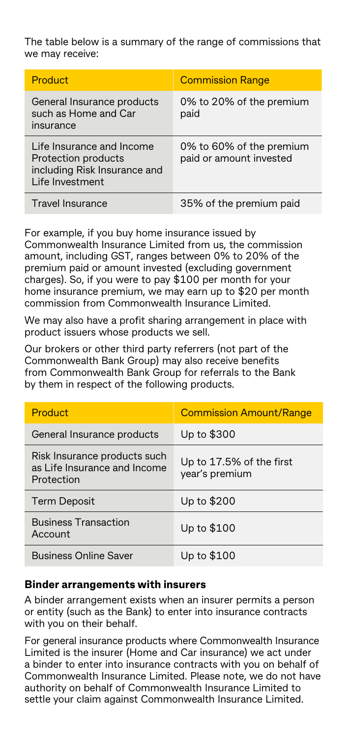The table below is a summary of the range of commissions that we may receive:

| Product                                                                                             | <b>Commission Range</b>                             |
|-----------------------------------------------------------------------------------------------------|-----------------------------------------------------|
| General Insurance products<br>such as Home and Car<br>insurance                                     | 0% to 20% of the premium<br>paid                    |
| Life Insurance and Income<br>Protection products<br>including Risk Insurance and<br>Life Investment | 0% to 60% of the premium<br>paid or amount invested |
| <b>Travel Insurance</b>                                                                             | 35% of the premium paid                             |

For example, if you buy home insurance issued by Commonwealth Insurance Limited from us, the commission amount, including GST, ranges between 0% to 20% of the premium paid or amount invested (excluding government charges). So, if you were to pay \$100 per month for your home insurance premium, we may earn up to \$20 per month commission from Commonwealth Insurance Limited.

We may also have a profit sharing arrangement in place with product issuers whose products we sell.

Our brokers or other third party referrers (not part of the Commonwealth Bank Group) may also receive benefits from Commonwealth Bank Group for referrals to the Bank by them in respect of the following products.

| Product                                                                    | <b>Commission Amount/Range</b>             |
|----------------------------------------------------------------------------|--------------------------------------------|
| General Insurance products                                                 | Up to \$300                                |
| Risk Insurance products such<br>as Life Insurance and Income<br>Protection | Up to 17.5% of the first<br>year's premium |
| <b>Term Deposit</b>                                                        | Up to \$200                                |
| <b>Business Transaction</b><br>Account                                     | Up to \$100                                |
| <b>Business Online Saver</b>                                               | Up to \$100                                |

#### **Binder arrangements with insurers**

A binder arrangement exists when an insurer permits a person or entity (such as the Bank) to enter into insurance contracts with you on their behalf.

For general insurance products where Commonwealth Insurance Limited is the insurer (Home and Car insurance) we act under a binder to enter into insurance contracts with you on behalf of Commonwealth Insurance Limited. Please note, we do not have authority on behalf of Commonwealth Insurance Limited to settle your claim against Commonwealth Insurance Limited.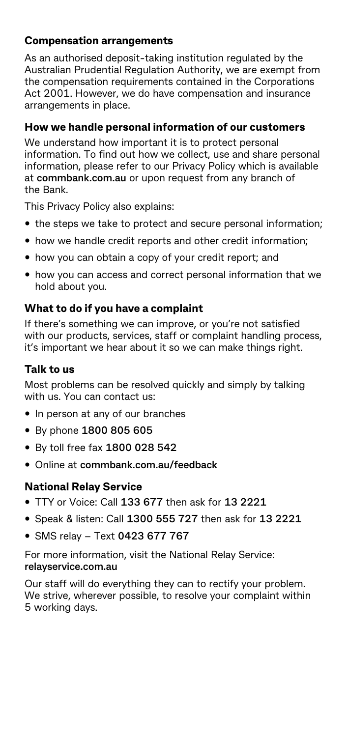# **Compensation arrangements**

As an authorised deposit-taking institution regulated by the Australian Prudential Regulation Authority, we are exempt from the compensation requirements contained in the Corporations Act 2001. However, we do have compensation and insurance arrangements in place.

# **How we handle personal information of our customers**

We understand how important it is to protect personal information. To find out how we collect, use and share personal information, please refer to our Privacy Policy which is available at **[commbank.com.au](http://commbank.com.au/)** or upon request from any branch of the Bank.

This Privacy Policy also explains:

- the steps we take to protect and secure personal information;
- how we handle credit reports and other credit information;
- how you can obtain a copy of your credit report; and
- how you can access and correct personal information that we hold about you.

#### **What to do if you have a complaint**

If there's something we can improve, or you're not satisfied with our products, services, staff or complaint handling process, it's important we hear about it so we can make things right.

#### **Talk to us**

Most problems can be resolved quickly and simply by talking with us. You can contact us:

- In person at any of our branches
- By phone **1800 805 605**
- By toll free fax **1800 028 542**
- Online at **[commbank.com.au/feedback](http://commbank.com.au/feedback)**

# **National Relay Service**

- TTY or Voice: Call **133 677** then ask for **13 2221**
- Speak & listen: Call **1300 555 727** then ask for **13 2221**
- SMS relay Text **0423 677 767**

For more information, visit the National Relay Service: **[relayservice.com.au](http://relayservice.com.au)**

Our staff will do everything they can to rectify your problem. We strive, wherever possible, to resolve your complaint within 5 working days.